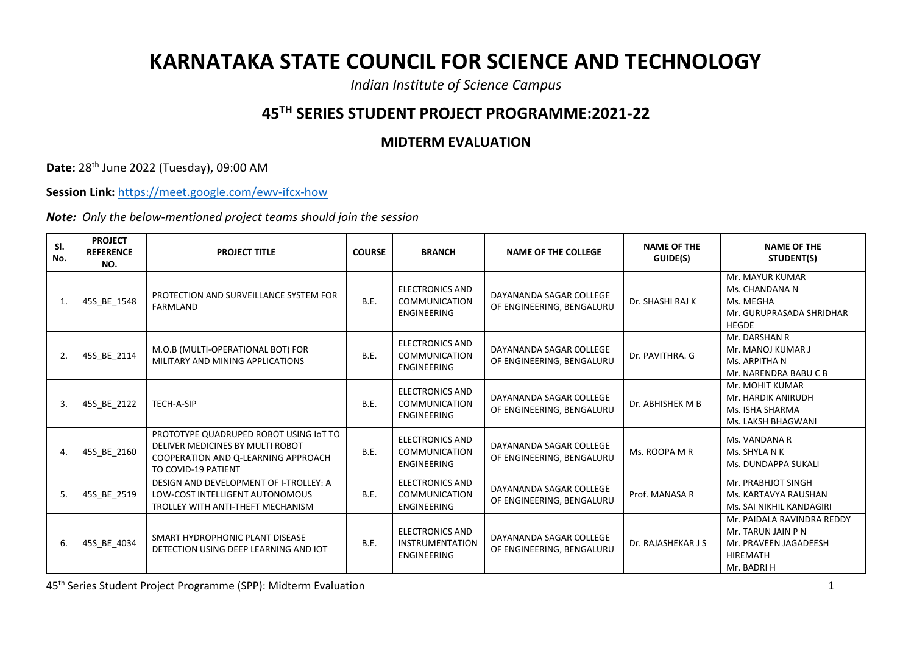## **KARNATAKA STATE COUNCIL FOR SCIENCE AND TECHNOLOGY**

*Indian Institute of Science Campus*

## **45TH SERIES STUDENT PROJECT PROGRAMME:2021-22**

## **MIDTERM EVALUATION**

**Date:** 28th June 2022 (Tuesday), 09:00 AM

**Session Link:** <https://meet.google.com/ewv-ifcx-how>

*Note: Only the below-mentioned project teams should join the session*

| SI.<br>No.       | <b>PROJECT</b><br><b>REFERENCE</b><br>NO. | <b>PROJECT TITLE</b>                                                                                                                     | <b>COURSE</b> | <b>BRANCH</b>                                                          | <b>NAME OF THE COLLEGE</b>                           | <b>NAME OF THE</b><br>GUIDE(S) | <b>NAME OF THE</b><br>STUDENT(S)                                                                            |
|------------------|-------------------------------------------|------------------------------------------------------------------------------------------------------------------------------------------|---------------|------------------------------------------------------------------------|------------------------------------------------------|--------------------------------|-------------------------------------------------------------------------------------------------------------|
| $\mathbf{1}$     | 45S_BE_1548                               | PROTECTION AND SURVEILLANCE SYSTEM FOR<br><b>FARMLAND</b>                                                                                | <b>B.E.</b>   | <b>ELECTRONICS AND</b><br><b>COMMUNICATION</b><br><b>ENGINEERING</b>   | DAYANANDA SAGAR COLLEGE<br>OF ENGINEERING, BENGALURU | Dr. SHASHI RAJ K               | Mr. MAYUR KUMAR<br>Ms. CHANDANA N<br>Ms. MEGHA<br>Mr. GURUPRASADA SHRIDHAR<br><b>HEGDE</b>                  |
| 2.               | 45S_BE_2114                               | M.O.B (MULTI-OPERATIONAL BOT) FOR<br>MILITARY AND MINING APPLICATIONS                                                                    | B.E.          | <b>ELECTRONICS AND</b><br><b>COMMUNICATION</b><br><b>ENGINEERING</b>   | DAYANANDA SAGAR COLLEGE<br>OF ENGINEERING, BENGALURU | Dr. PAVITHRA. G                | Mr. DARSHAN R<br>Mr. MANOJ KUMAR J<br>Ms. ARPITHA N<br>Mr. NARENDRA BABU C B                                |
| $\overline{3}$ . | 45S BE 2122                               | TECH-A-SIP                                                                                                                               | <b>B.E.</b>   | <b>ELECTRONICS AND</b><br>COMMUNICATION<br>ENGINEERING                 | DAYANANDA SAGAR COLLEGE<br>OF ENGINEERING, BENGALURU | Dr. ABHISHEK M B               | Mr. MOHIT KUMAR<br>Mr. HARDIK ANIRUDH<br>Ms. ISHA SHARMA<br>Ms. LAKSH BHAGWANI                              |
| $\overline{4}$   | 45S_BE_2160                               | PROTOTYPE QUADRUPED ROBOT USING IOT TO<br>DELIVER MEDICINES BY MULTI ROBOT<br>COOPERATION AND Q-LEARNING APPROACH<br>TO COVID-19 PATIENT | B.E.          | <b>ELECTRONICS AND</b><br><b>COMMUNICATION</b><br><b>ENGINEERING</b>   | DAYANANDA SAGAR COLLEGE<br>OF ENGINEERING, BENGALURU | Ms. ROOPA M R                  | Ms. VANDANA R<br>Ms. SHYLA N K<br>Ms. DUNDAPPA SUKALI                                                       |
| 5.               | 45S BE 2519                               | DESIGN AND DEVELOPMENT OF I-TROLLEY: A<br>LOW-COST INTELLIGENT AUTONOMOUS<br>TROLLEY WITH ANTI-THEFT MECHANISM                           | B.E.          | <b>ELECTRONICS AND</b><br><b>COMMUNICATION</b><br>ENGINEERING          | DAYANANDA SAGAR COLLEGE<br>OF ENGINEERING, BENGALURU | Prof. MANASA R                 | Mr. PRABHJOT SINGH<br>Ms. KARTAVYA RAUSHAN<br>Ms. SAI NIKHIL KANDAGIRI                                      |
| 6.               | 45S_BE_4034                               | SMART HYDROPHONIC PLANT DISEASE<br>DETECTION USING DEEP LEARNING AND IOT                                                                 | <b>B.E.</b>   | <b>ELECTRONICS AND</b><br><b>INSTRUMENTATION</b><br><b>ENGINEERING</b> | DAYANANDA SAGAR COLLEGE<br>OF ENGINEERING, BENGALURU | Dr. RAJASHEKAR J S             | Mr. PAIDALA RAVINDRA REDDY<br>Mr. TARUN JAIN P N<br>Mr. PRAVEEN JAGADEESH<br><b>HIREMATH</b><br>Mr. BADRI H |

45<sup>th</sup> Series Student Project Programme (SPP): Midterm Evaluation 1 2008 1 2009 1 2009 1 2009 1 2009 1 2009 1 2009 1 2009 1 2009 1 2009 1 2009 1 2009 1 2009 1 2009 1 2009 1 2009 1 2009 1 2009 1 2009 1 2009 1 2009 1 2009 1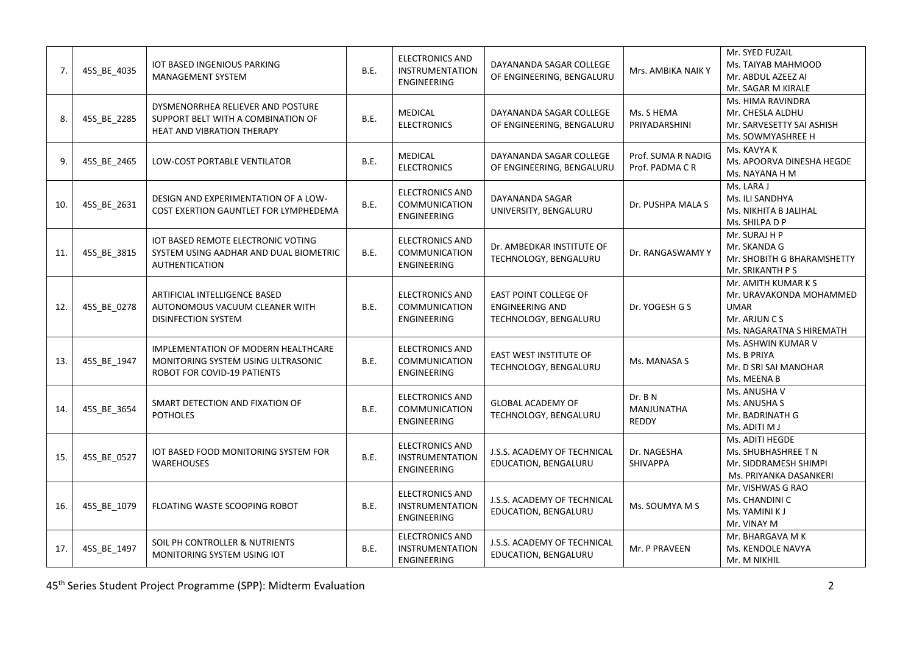| 7.  | 45S_BE_4035 | IOT BASED INGENIOUS PARKING<br>MANAGEMENT SYSTEM                                                         | B.E. | <b>ELECTRONICS AND</b><br><b>INSTRUMENTATION</b><br><b>ENGINEERING</b> | DAYANANDA SAGAR COLLEGE<br>OF ENGINEERING, BENGALURU                     | Mrs. AMBIKA NAIK Y                           | Mr. SYED FUZAIL<br>Ms. TAIYAB MAHMOOD<br>Mr. ABDUL AZEEZ AI<br>Mr. SAGAR M KIRALE                          |
|-----|-------------|----------------------------------------------------------------------------------------------------------|------|------------------------------------------------------------------------|--------------------------------------------------------------------------|----------------------------------------------|------------------------------------------------------------------------------------------------------------|
| 8.  | 45S BE 2285 | DYSMENORRHEA RELIEVER AND POSTURE<br>SUPPORT BELT WITH A COMBINATION OF<br>HEAT AND VIBRATION THERAPY    | B.E. | <b>MEDICAL</b><br><b>ELECTRONICS</b>                                   | DAYANANDA SAGAR COLLEGE<br>OF ENGINEERING, BENGALURU                     | Ms. S HEMA<br>PRIYADARSHINI                  | Ms. HIMA RAVINDRA<br>Mr. CHESLA ALDHU<br>Mr. SARVESETTY SAI ASHISH<br>Ms. SOWMYASHREE H                    |
| 9.  | 45S_BE_2465 | LOW-COST PORTABLE VENTILATOR                                                                             | B.E. | <b>MEDICAL</b><br><b>ELECTRONICS</b>                                   | DAYANANDA SAGAR COLLEGE<br>OF ENGINEERING, BENGALURU                     | Prof. SUMA R NADIG<br>Prof. PADMA CR         | Ms. KAVYA K<br>Ms. APOORVA DINESHA HEGDE<br>Ms. NAYANA H M                                                 |
| 10. | 45S_BE_2631 | DESIGN AND EXPERIMENTATION OF A LOW-<br>COST EXERTION GAUNTLET FOR LYMPHEDEMA                            | B.E. | <b>ELECTRONICS AND</b><br><b>COMMUNICATION</b><br><b>ENGINEERING</b>   | DAYANANDA SAGAR<br>UNIVERSITY, BENGALURU                                 | Dr. PUSHPA MALA S                            | Ms. LARA J<br>Ms. ILI SANDHYA<br>Ms. NIKHITA B JALIHAL<br>Ms. SHILPA D P                                   |
| 11. | 45S BE 3815 | IOT BASED REMOTE ELECTRONIC VOTING<br>SYSTEM USING AADHAR AND DUAL BIOMETRIC<br><b>AUTHENTICATION</b>    | B.E. | <b>ELECTRONICS AND</b><br>COMMUNICATION<br>ENGINEERING                 | Dr. AMBEDKAR INSTITUTE OF<br>TECHNOLOGY, BENGALURU                       | Dr. RANGASWAMY Y                             | Mr. SURAJ H P<br>Mr. SKANDA G<br>Mr. SHOBITH G BHARAMSHETTY<br>Mr. SRIKANTH P S                            |
| 12. | 45S_BE_0278 | ARTIFICIAL INTELLIGENCE BASED<br>AUTONOMOUS VACUUM CLEANER WITH<br>DISINFECTION SYSTEM                   | B.E. | <b>ELECTRONICS AND</b><br><b>COMMUNICATION</b><br>ENGINEERING          | EAST POINT COLLEGE OF<br><b>ENGINEERING AND</b><br>TECHNOLOGY, BENGALURU | Dr. YOGESH G S                               | Mr. AMITH KUMAR K S<br>Mr. URAVAKONDA MOHAMMED<br><b>UMAR</b><br>Mr. ARJUN C S<br>Ms. NAGARATNA S HIREMATH |
| 13. | 45S_BE_1947 | IMPLEMENTATION OF MODERN HEALTHCARE<br>MONITORING SYSTEM USING ULTRASONIC<br>ROBOT FOR COVID-19 PATIENTS | B.E. | <b>ELECTRONICS AND</b><br><b>COMMUNICATION</b><br><b>ENGINEERING</b>   | EAST WEST INSTITUTE OF<br>TECHNOLOGY, BENGALURU                          | Ms. MANASA S                                 | Ms. ASHWIN KUMAR V<br>Ms. B PRIYA<br>Mr. D SRI SAI MANOHAR<br>Ms. MEENA B                                  |
| 14. | 45S_BE_3654 | SMART DETECTION AND FIXATION OF<br><b>POTHOLES</b>                                                       | B.E. | <b>ELECTRONICS AND</b><br>COMMUNICATION<br><b>ENGINEERING</b>          | <b>GLOBAL ACADEMY OF</b><br>TECHNOLOGY, BENGALURU                        | Dr. B N<br><b>MANJUNATHA</b><br><b>REDDY</b> | Ms. ANUSHA V<br>Ms. ANUSHA S<br>Mr. BADRINATH G<br>Ms. ADITI M J                                           |
| 15. | 45S_BE_0527 | IOT BASED FOOD MONITORING SYSTEM FOR<br><b>WAREHOUSES</b>                                                | B.E. | <b>ELECTRONICS AND</b><br><b>INSTRUMENTATION</b><br><b>ENGINEERING</b> | J.S.S. ACADEMY OF TECHNICAL<br>EDUCATION, BENGALURU                      | Dr. NAGESHA<br><b>SHIVAPPA</b>               | Ms. ADITI HEGDE<br>Ms. SHUBHASHREE T N<br>Mr. SIDDRAMESH SHIMPI<br>Ms. PRIYANKA DASANKERI                  |
| 16. | 45S_BE_1079 | <b>FLOATING WASTE SCOOPING ROBOT</b>                                                                     | B.E. | <b>ELECTRONICS AND</b><br><b>INSTRUMENTATION</b><br><b>ENGINEERING</b> | J.S.S. ACADEMY OF TECHNICAL<br>EDUCATION, BENGALURU                      | Ms. SOUMYA M S                               | Mr. VISHWAS G RAO<br>Ms. CHANDINI C<br>Ms. YAMINI K J<br>Mr. VINAY M                                       |
| 17. | 45S_BE_1497 | SOIL PH CONTROLLER & NUTRIENTS<br>MONITORING SYSTEM USING IOT                                            | B.E. | <b>ELECTRONICS AND</b><br><b>INSTRUMENTATION</b><br><b>ENGINEERING</b> | J.S.S. ACADEMY OF TECHNICAL<br>EDUCATION, BENGALURU                      | Mr. P PRAVEEN                                | Mr. BHARGAVA M K<br>Ms. KENDOLE NAVYA<br>Mr. M NIKHIL                                                      |